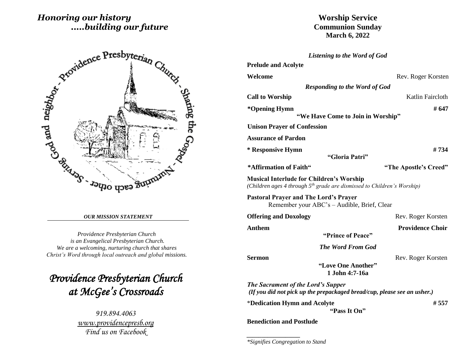# *Honoring our history .....building our future*



#### *OUR MISSION STATEMENT*

*Providence Presbyterian Church is an Evangelical Presbyterian Church. We are a welcoming, nurturing church that shares Christ's Word through local outreach and global missions.*

*Providence Presbyterian Church at McGee's Crossroads* 

> *919.894.4063 [www.providencepresb.org](http://www.providencepresb.org/) Find us on Facebook*

**Worship Service Communion Sunday March 6, 2022**

| Listening to the Word of God                                                                                                           |                         |
|----------------------------------------------------------------------------------------------------------------------------------------|-------------------------|
| <b>Prelude and Acolyte</b>                                                                                                             |                         |
| Welcome                                                                                                                                | Rev. Roger Korsten      |
| <b>Responding to the Word of God</b>                                                                                                   |                         |
| <b>Call to Worship</b>                                                                                                                 | Katlin Faircloth        |
| *Opening Hymn                                                                                                                          | # 647                   |
| "We Have Come to Join in Worship"                                                                                                      |                         |
| <b>Unison Prayer of Confession</b>                                                                                                     |                         |
| <b>Assurance of Pardon</b>                                                                                                             |                         |
| * Responsive Hymn                                                                                                                      | #734                    |
| "Gloria Patri"                                                                                                                         |                         |
| *Affirmation of Faith"                                                                                                                 | "The Apostle's Creed"   |
| <b>Musical Interlude for Children's Worship</b><br>(Children ages 4 through 5 <sup>th</sup> grade are dismissed to Children's Worship) |                         |
| <b>Pastoral Prayer and The Lord's Prayer</b><br>Remember your ABC's – Audible, Brief, Clear                                            |                         |
| <b>Offering and Doxology</b>                                                                                                           | Rev. Roger Korsten      |
| Anthem<br>"Prince of Peace"                                                                                                            | <b>Providence Choir</b> |
| <b>The Word From God</b>                                                                                                               |                         |
| Sermon<br>"Love One Another"<br>1.John 4:7-16a                                                                                         | Rev. Roger Korsten      |
| <b>The Sacrament of the Lord's Supper</b><br>(If you did not pick up the prepackaged bread/cup, please see an usher.)                  |                         |
| *Dedication Hymn and Acolyte<br>"Pass It On"                                                                                           | # 557                   |

**Benediction and Postlude**

*\_\_\_\_\_\_\_\_\_\_\_\_\_\_\_\_\_\_*

*\*Signifies Congregation to Stand*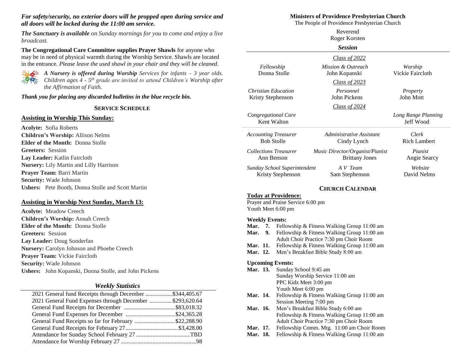#### *For safety/security, no exterior doors will be propped open during service and all doors will be locked during the 11:00 am service.*

*The Sanctuary is available on Sunday mornings for you to come and enjoy a live broadcast.*

**The Congregational Care Committee supplies Prayer Shawls** for anyone who may be in need of physical warmth during the Worship Service. Shawls are located in the entrance. *Please leave the used shawl in your chair and they will be cleaned.*



*A Nursery is offered during Worship Services for infants – 3 year olds. Children ages 4 - 5 th grade are invited to attend Children's Worship after the Affirmation of Faith.*

*Thank you for placing any discarded bulletins in the blue recycle bin.*

#### **SERVICE SCHEDULE**

#### **Assisting in Worship This Sunday:**

**Acolyte:** Sofia Roberts **Children's Worship:** Allison Nelms **Elder of the Month:** Donna Stolle **Greeters:** Session **Lay Leader:** Katlin Faircloth **Nursery:** Lily Martin and Lilly Harrison **Prayer Team:** Barri Martin **Security:** Wade Johnson **Ushers:** Pete Booth, Donna Stolle and Scott Martin

### **Assisting in Worship Next Sunday, March 13:**

**Acolyte:** Meadow Creech **Children's Worship:** Annah Creech **Elder of the Month:** Donna Stolle **Greeters:** Session **Lay Leader:** Doug Sonderfan **Nursery:** Carolyn Johnson and Phoebe Creech **Prayer Team:** Vickie Faircloth **Security:** Wade Johnson **Ushers:** John Kopanski, Donna Stolle, and John Pickens

#### *Weekly Statistics*

| 2021 General fund Receipts through December \$344,405.67 |  |
|----------------------------------------------------------|--|
| 2021 General Fund Expenses through December \$293,620.64 |  |
|                                                          |  |
|                                                          |  |
| General Fund Receipts so far for February \$22,288.90    |  |
|                                                          |  |
|                                                          |  |
|                                                          |  |
|                                                          |  |

#### **Ministers of Providence Presbyterian Church**

The People of Providence Presbyterian Church

|                                                                                        |                                                | Reverend<br>Roger Korsten                                                                                                                                                                                                   |                                  |
|----------------------------------------------------------------------------------------|------------------------------------------------|-----------------------------------------------------------------------------------------------------------------------------------------------------------------------------------------------------------------------------|----------------------------------|
|                                                                                        |                                                | <b>Session</b>                                                                                                                                                                                                              |                                  |
|                                                                                        |                                                | Class of $2022$                                                                                                                                                                                                             |                                  |
| Fellowship<br>Donna Stolle                                                             |                                                | Mission & Outreach<br>John Kopanski                                                                                                                                                                                         | Worship<br>Vickie Faircloth      |
|                                                                                        |                                                | Class of $2023$                                                                                                                                                                                                             |                                  |
| <b>Christian Education</b><br>Kristy Stephenson                                        |                                                | Personnel<br>John Pickens                                                                                                                                                                                                   | Property<br>John Mott            |
|                                                                                        |                                                | Class of $2024$                                                                                                                                                                                                             |                                  |
| Congregational Care<br>Kent Walton                                                     |                                                |                                                                                                                                                                                                                             | Long Range Planning<br>Jeff Wood |
| <b>Accounting Treasurer</b><br><b>Bob Stolle</b>                                       |                                                | Administrative Assistant<br>Cindy Lynch                                                                                                                                                                                     | Clerk<br><b>Rich Lambert</b>     |
| <b>Collections Treasurer</b><br>Ann Benson                                             |                                                | Music Director/Organist/Pianist<br><b>Brittany Jones</b>                                                                                                                                                                    | Pianist<br>Angie Searcy          |
| Sunday School Superintendent<br>Kristy Stephenson                                      |                                                | A V Team<br>Sam Stephenson                                                                                                                                                                                                  | Website<br>David Nelms           |
|                                                                                        |                                                | <b>CHURCH CALENDAR</b>                                                                                                                                                                                                      |                                  |
| <b>Today at Providence:</b><br>Prayer and Praise Service 6:00 pm<br>Youth Meet 6:00 pm |                                                |                                                                                                                                                                                                                             |                                  |
| <b>Weekly Events:</b><br>Mar.<br>7.<br>9.<br>Mar.<br>Mar. 11.<br>Mar. 12.              |                                                | Fellowship & Fitness Walking Group 11:00 am<br>Fellowship & Fitness Walking Group 11:00 am<br>Adult Choir Practice 7:30 pm Choir Room<br>Fellowship & Fitness Walking Group 11:00 am<br>Men's Breakfast Bible Study 8:00 am |                                  |
| <b>Upcoming Events:</b><br>Mar. 13.                                                    | Sunday School 9:45 am<br>PPC Kidz Meet 3:00 pm | Sunday Worship Service 11:00 am                                                                                                                                                                                             |                                  |
|                                                                                        | Youth Meet 6:00 pm                             |                                                                                                                                                                                                                             |                                  |

- Mar. 14. Fellowship & Fitness Walking Group 11:00 am Session Meeting 7:00 pm
- **Mar. 16.** Men's Breakfast Bible Study 6:00 am Fellowship & Fitness Walking Group 11:00 am Adult Choir Practice 7:30 pm Choir Room
- **Mar. 17.** Fellowship Comm. Mtg. 11:00 am Choir Room
- **Mar. 18.** Fellowship & Fitness Walking Group 11:00 am